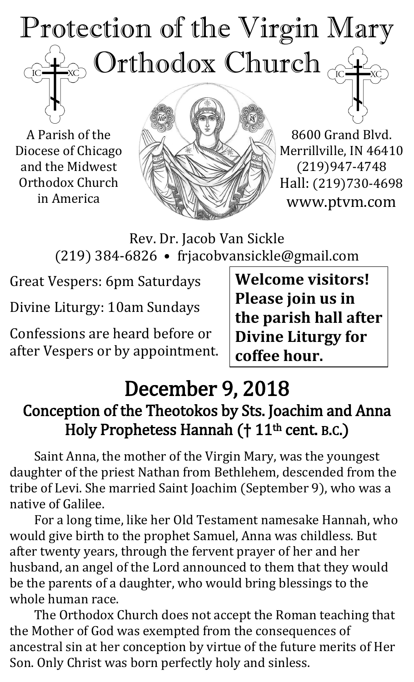# Protection of the Virgin Mary ) Orthodox Church  $_{\odot}$  $\mathrm{IC}$

A Parish of the Diocese of Chicago and the Midwest Orthodox Church in America



8600 Grand Blvd. Merrillville, IN 46410 (219)947-4748 Hall: (219)730-4698 www.ptvm.com

Rev. Dr. Jacob Van Sickle (219) 384-6826 • frjacobvansickle@gmail.com

Great Vespers: 6pm Saturdays

Divine Liturgy: 10am Sundays

Confessions are heard before or after Vespers or by appointment.

**Welcome visitors! Please join us in the parish hall after Divine Liturgy for coffee hour.**

# December 9, 2018 Conception of the Theotokos by Sts. Joachim and Anna Holy Prophetess Hannah († 11<sup>th</sup> cent. B.C.)

Saint Anna, the mother of the Virgin Mary, was the youngest daughter of the priest Nathan from Bethlehem, descended from the tribe of Levi. She married Saint Joachim (September 9), who was a native of Galilee.

For a long time, like her Old Testament namesake Hannah, who would give birth to the prophet Samuel, Anna was childless. But after twenty years, through the fervent prayer of her and her husband, an angel of the Lord announced to them that they would be the parents of a daughter, who would bring blessings to the whole human race.

The Orthodox Church does not accept the Roman teaching that the Mother of God was exempted from the consequences of ancestral sin at her conception by virtue of the future merits of Her Son. Only Christ was born perfectly holy and sinless.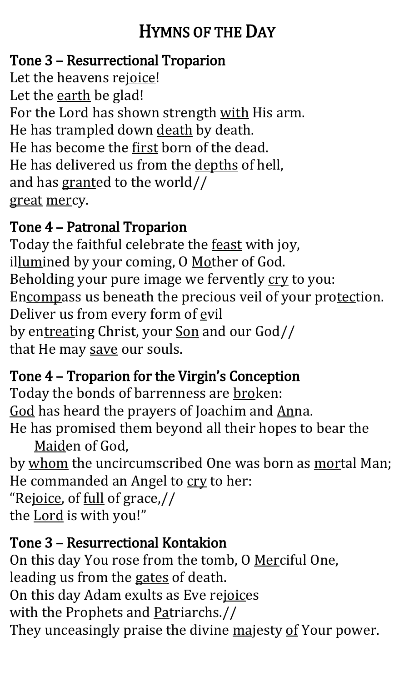# HYMNS OF THE DAY

#### Tone 3 – Resurrectional Troparion

Let the heavens rejoice! Let the earth be glad! For the Lord has shown strength with His arm. He has trampled down death by death. He has become the first born of the dead. He has delivered us from the depths of hell, and has granted to the world// great mercy.

#### Tone 4 – Patronal Troparion

Today the faithful celebrate the feast with joy, illumined by your coming, O Mother of God. Beholding your pure image we fervently cry to you: Encompass us beneath the precious veil of your protection. Deliver us from every form of evil by entreating Christ, your Son and our God// that He may save our souls.

## Tone 4 – Troparion for the Virgin's Conception

Today the bonds of barrenness are broken: God has heard the prayers of Joachim and Anna. He has promised them beyond all their hopes to bear the

Maiden of God,

by whom the uncircumscribed One was born as mortal Man; He commanded an Angel to cry to her:

"Rejoice, of full of grace,// the Lord is with you!"

#### Tone 3 – Resurrectional Kontakion

On this day You rose from the tomb, O Merciful One, leading us from the gates of death. On this day Adam exults as Eve rejoices with the Prophets and Patriarchs.// They unceasingly praise the divine majesty of Your power.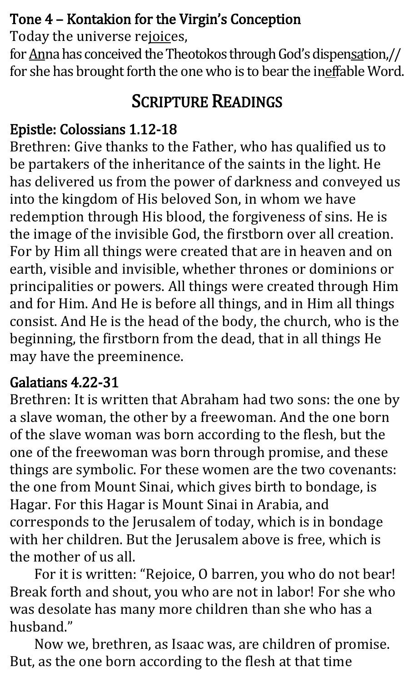#### Tone 4 – Kontakion for the Virgin's Conception

Today the universe rejoices,

for Anna has conceived the Theotokos through God's dispensation,// for she has brought forth the one who is to bear the ineffable Word.

# SCRIPTURE READINGS

## Epistle: Colossians 1.12-18

Brethren: Give thanks to the Father, who has qualified us to be partakers of the inheritance of the saints in the light. He has delivered us from the power of darkness and conveyed us into the kingdom of His beloved Son, in whom we have redemption through His blood, the forgiveness of sins. He is the image of the invisible God, the firstborn over all creation. For by Him all things were created that are in heaven and on earth, visible and invisible, whether thrones or dominions or principalities or powers. All things were created through Him and for Him. And He is before all things, and in Him all things consist. And He is the head of the body, the church, who is the beginning, the firstborn from the dead, that in all things He may have the preeminence.

## Galatians 4.22-31

Brethren: It is written that Abraham had two sons: the one by a slave woman, the other by a freewoman. And the one born of the slave woman was born according to the flesh, but the one of the freewoman was born through promise, and these things are symbolic. For these women are the two covenants: the one from Mount Sinai, which gives birth to bondage, is Hagar. For this Hagar is Mount Sinai in Arabia, and corresponds to the Jerusalem of today, which is in bondage with her children. But the Jerusalem above is free, which is the mother of us all.

For it is written: "Rejoice, O barren, you who do not bear! Break forth and shout, you who are not in labor! For she who was desolate has many more children than she who has a husband."

Now we, brethren, as Isaac was, are children of promise. But, as the one born according to the flesh at that time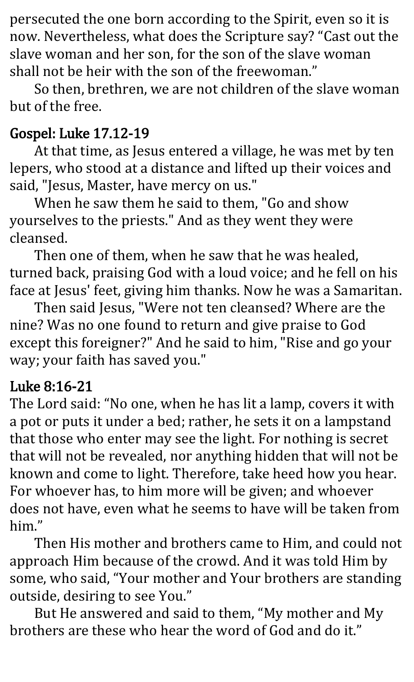persecuted the one born according to the Spirit, even so it is now. Nevertheless, what does the Scripture say? "Cast out the slave woman and her son, for the son of the slave woman shall not be heir with the son of the freewoman."

So then, brethren, we are not children of the slave woman but of the free.

#### Gospel: Luke 17.12-19

At that time, as Jesus entered a village, he was met by ten lepers, who stood at a distance and lifted up their voices and said, "Jesus, Master, have mercy on us."

When he saw them he said to them, "Go and show yourselves to the priests." And as they went they were cleansed.

Then one of them, when he saw that he was healed, turned back, praising God with a loud voice; and he fell on his face at Jesus' feet, giving him thanks. Now he was a Samaritan.

Then said Jesus, "Were not ten cleansed? Where are the nine? Was no one found to return and give praise to God except this foreigner?" And he said to him, "Rise and go your way; your faith has saved you."

#### Luke 8:16-21

The Lord said: "No one, when he has lit a lamp, covers it with a pot or puts it under a bed; rather, he sets it on a lampstand that those who enter may see the light. For nothing is secret that will not be revealed, nor anything hidden that will not be known and come to light. Therefore, take heed how you hear. For whoever has, to him more will be given; and whoever does not have, even what he seems to have will be taken from him."

Then His mother and brothers came to Him, and could not approach Him because of the crowd. And it was told Him by some, who said, "Your mother and Your brothers are standing outside, desiring to see You."

But He answered and said to them, "My mother and My brothers are these who hear the word of God and do it."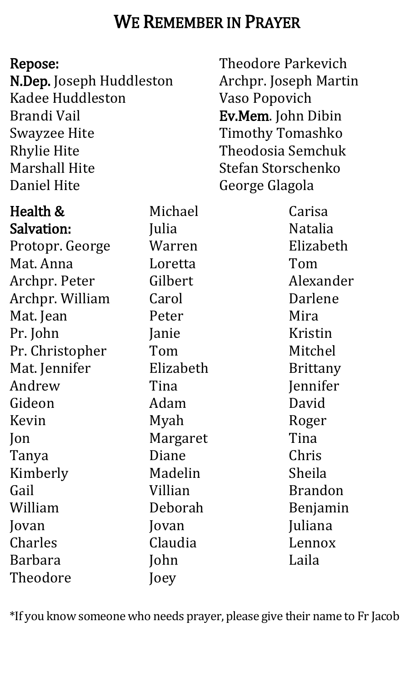## WE REMEMBER IN PRAYER

#### Repose:

N.Dep. Joseph Huddleston Kadee Huddleston Brandi Vail Swayzee Hite Rhylie Hite Marshall Hite Daniel Hite

Health & Salvation: Protopr. George Mat. Anna Archpr. Peter Archpr. William Mat. Jean Pr. John Pr. Christopher Mat. Jennifer Andrew Gideon Kevin Jon Tanya Kimberly Gail William Jovan Charles Barbara Theodore

Michael Julia Warren Loretta Gilbert Carol Peter Janie Tom Elizabeth Tina Adam Myah Margaret Diane Madelin Villian Deborah Jovan Claudia John Joey

Theodore Parkevich Archpr. Joseph Martin Vaso Popovich Ev.Mem. John Dibin Timothy Tomashko Theodosia Semchuk Stefan Storschenko George Glagola

> Carisa Natalia Elizabeth Tom Alexander Darlene Mira Kristin Mitchel Brittany Jennifer David Roger Tina Chris Sheila Brandon Benjamin Juliana Lennox Laila

\*If you know someone who needs prayer, please give their name to Fr Jacob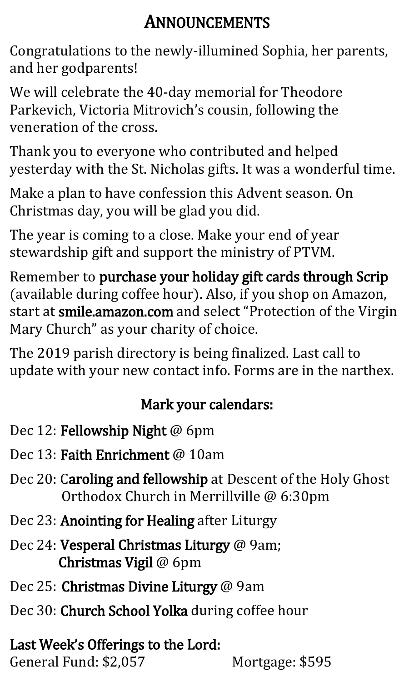# ANNOUNCEMENTS

Congratulations to the newly-illumined Sophia, her parents, and her godparents!

We will celebrate the 40-day memorial for Theodore Parkevich, Victoria Mitrovich's cousin, following the veneration of the cross.

Thank you to everyone who contributed and helped yesterday with the St. Nicholas gifts. It was a wonderful time.

Make a plan to have confession this Advent season. On Christmas day, you will be glad you did.

The year is coming to a close. Make your end of year stewardship gift and support the ministry of PTVM.

Remember to purchase your holiday gift cards through Scrip (available during coffee hour). Also, if you shop on Amazon, start at smile.amazon.com and select "Protection of the Virgin Mary Church" as your charity of choice.

The 2019 parish directory is being finalized. Last call to update with your new contact info. Forms are in the narthex.

#### Mark your calendars:

- Dec 12: Fellowship Night @ 6pm
- Dec 13: **Faith Enrichment** @ 10am
- Dec 20: Caroling and fellowship at Descent of the Holy Ghost Orthodox Church in Merrillville @ 6:30pm
- Dec 23: Anointing for Healing after Liturgy
- Dec 24: Vesperal Christmas Liturgy @ 9am; Christmas Vigil @ 6pm
- Dec 25: Christmas Divine Liturgy @ 9am
- Dec 30: Church School Yolka during coffee hour

#### Last Week's Offerings to the Lord: General Fund: \$2,057 Mortgage: \$595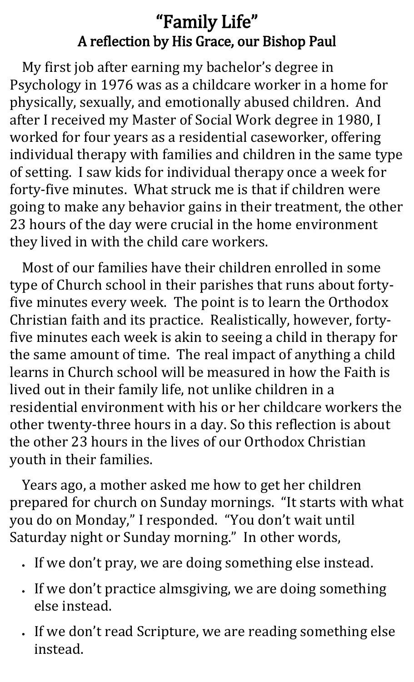## "Family Life" A reflection by His Grace, our Bishop Paul

My first job after earning my bachelor's degree in Psychology in 1976 was as a childcare worker in a home for physically, sexually, and emotionally abused children. And after I received my Master of Social Work degree in 1980, I worked for four years as a residential caseworker, offering individual therapy with families and children in the same type of setting. I saw kids for individual therapy once a week for forty-five minutes. What struck me is that if children were going to make any behavior gains in their treatment, the other 23 hours of the day were crucial in the home environment they lived in with the child care workers.

Most of our families have their children enrolled in some type of Church school in their parishes that runs about fortyfive minutes every week. The point is to learn the Orthodox Christian faith and its practice. Realistically, however, fortyfive minutes each week is akin to seeing a child in therapy for the same amount of time. The real impact of anything a child learns in Church school will be measured in how the Faith is lived out in their family life, not unlike children in a residential environment with his or her childcare workers the other twenty-three hours in a day. So this reflection is about the other 23 hours in the lives of our Orthodox Christian youth in their families.

Years ago, a mother asked me how to get her children prepared for church on Sunday mornings. "It starts with what you do on Monday," I responded. "You don't wait until Saturday night or Sunday morning." In other words,

- If we don't pray, we are doing something else instead.
- If we don't practice almsgiving, we are doing something else instead.
- If we don't read Scripture, we are reading something else instead.